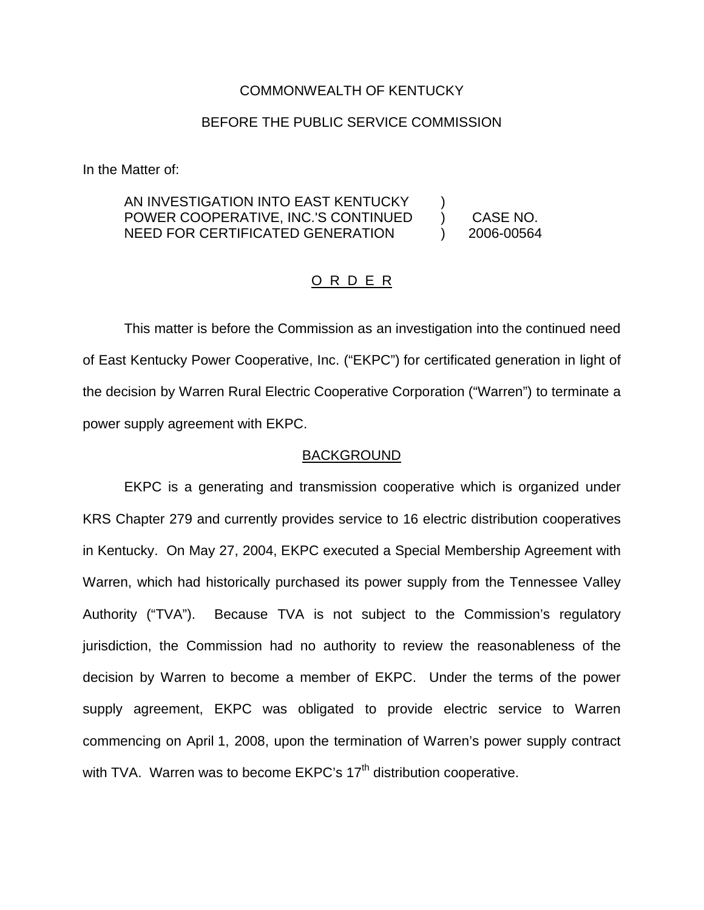# COMMONWEALTH OF KENTUCKY

# BEFORE THE PUBLIC SERVICE COMMISSION

In the Matter of:

#### AN INVESTIGATION INTO EAST KENTUCKY POWER COOPERATIVE, INC.'S CONTINUED NEED FOR CERTIFICATED GENERATION ) ) CASE NO. ) 2006-00564

#### O R D E R

This matter is before the Commission as an investigation into the continued need of East Kentucky Power Cooperative, Inc. ("EKPC") for certificated generation in light of the decision by Warren Rural Electric Cooperative Corporation ("Warren") to terminate a power supply agreement with EKPC.

#### BACKGROUND

EKPC is a generating and transmission cooperative which is organized under KRS Chapter 279 and currently provides service to 16 electric distribution cooperatives in Kentucky. On May 27, 2004, EKPC executed a Special Membership Agreement with Warren, which had historically purchased its power supply from the Tennessee Valley Authority ("TVA"). Because TVA is not subject to the Commission's regulatory jurisdiction, the Commission had no authority to review the reasonableness of the decision by Warren to become a member of EKPC. Under the terms of the power supply agreement, EKPC was obligated to provide electric service to Warren commencing on April 1, 2008, upon the termination of Warren's power supply contract with TVA. Warren was to become  $E$ KPC's 17<sup>th</sup> distribution cooperative.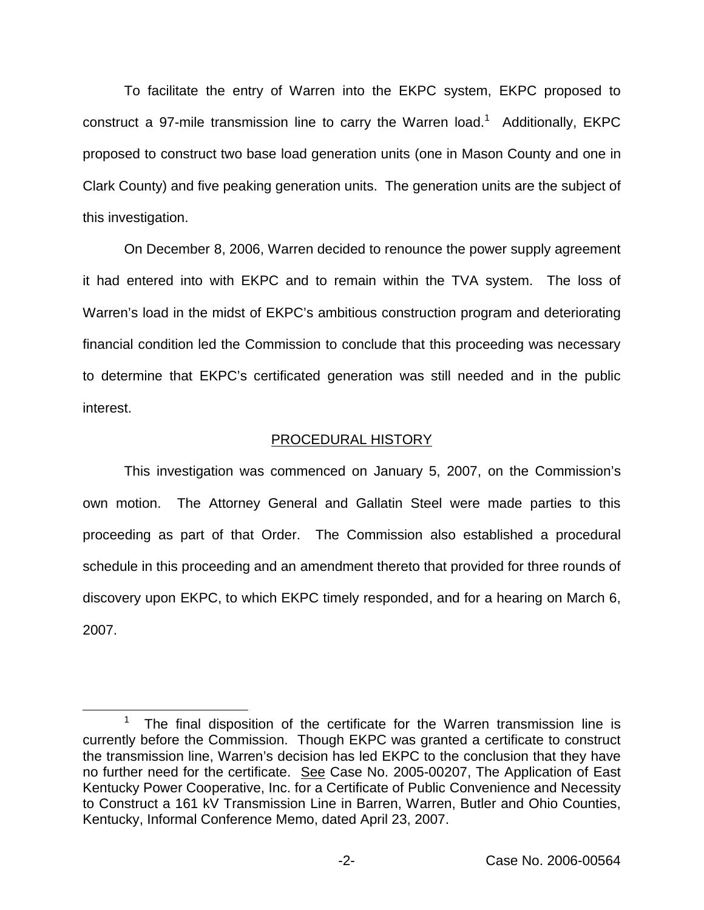To facilitate the entry of Warren into the EKPC system, EKPC proposed to construct a 97-mile transmission line to carry the Warren load.<sup>1</sup> Additionally, EKPC proposed to construct two base load generation units (one in Mason County and one in Clark County) and five peaking generation units. The generation units are the subject of this investigation.

On December 8, 2006, Warren decided to renounce the power supply agreement it had entered into with EKPC and to remain within the TVA system. The loss of Warren's load in the midst of EKPC's ambitious construction program and deteriorating financial condition led the Commission to conclude that this proceeding was necessary to determine that EKPC's certificated generation was still needed and in the public interest.

# PROCEDURAL HISTORY

This investigation was commenced on January 5, 2007, on the Commission's own motion. The Attorney General and Gallatin Steel were made parties to this proceeding as part of that Order. The Commission also established a procedural schedule in this proceeding and an amendment thereto that provided for three rounds of discovery upon EKPC, to which EKPC timely responded, and for a hearing on March 6, 2007.

<sup>&</sup>lt;sup>1</sup> The final disposition of the certificate for the Warren transmission line is currently before the Commission. Though EKPC was granted a certificate to construct the transmission line, Warren's decision has led EKPC to the conclusion that they have no further need for the certificate. See Case No. 2005-00207, The Application of East Kentucky Power Cooperative, Inc. for a Certificate of Public Convenience and Necessity to Construct a 161 kV Transmission Line in Barren, Warren, Butler and Ohio Counties, Kentucky, Informal Conference Memo, dated April 23, 2007.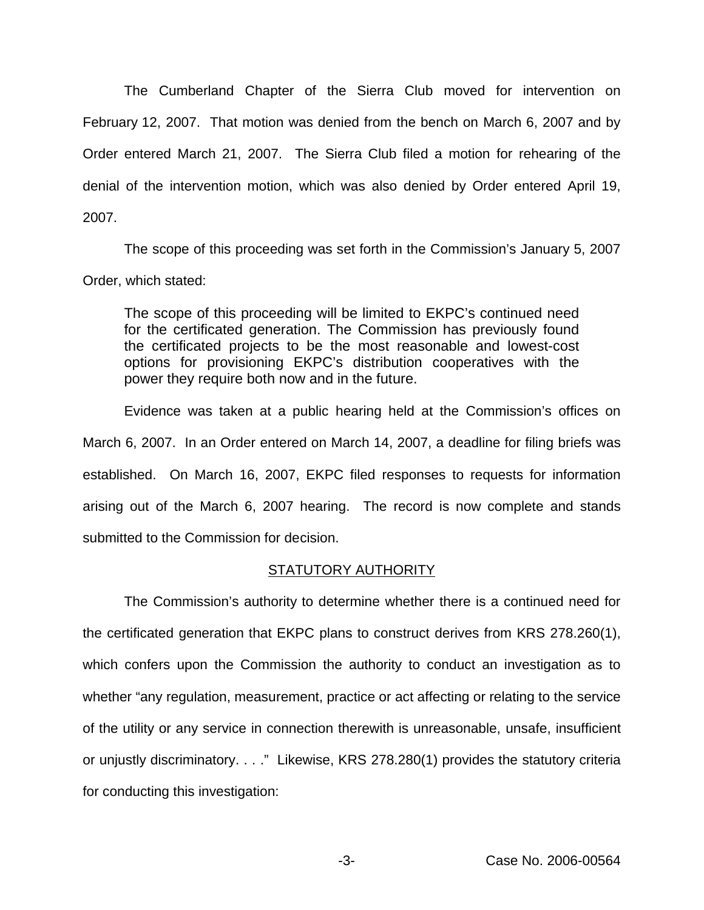The Cumberland Chapter of the Sierra Club moved for intervention on February 12, 2007. That motion was denied from the bench on March 6, 2007 and by Order entered March 21, 2007. The Sierra Club filed a motion for rehearing of the denial of the intervention motion, which was also denied by Order entered April 19, 2007.

The scope of this proceeding was set forth in the Commission's January 5, 2007 Order, which stated:

The scope of this proceeding will be limited to EKPC's continued need for the certificated generation. The Commission has previously found the certificated projects to be the most reasonable and lowest-cost options for provisioning EKPC's distribution cooperatives with the power they require both now and in the future.

Evidence was taken at a public hearing held at the Commission's offices on March 6, 2007. In an Order entered on March 14, 2007, a deadline for filing briefs was established. On March 16, 2007, EKPC filed responses to requests for information arising out of the March 6, 2007 hearing. The record is now complete and stands submitted to the Commission for decision.

# STATUTORY AUTHORITY

The Commission's authority to determine whether there is a continued need for the certificated generation that EKPC plans to construct derives from KRS 278.260(1), which confers upon the Commission the authority to conduct an investigation as to whether "any regulation, measurement, practice or act affecting or relating to the service of the utility or any service in connection therewith is unreasonable, unsafe, insufficient or unjustly discriminatory. . . ." Likewise, KRS 278.280(1) provides the statutory criteria for conducting this investigation: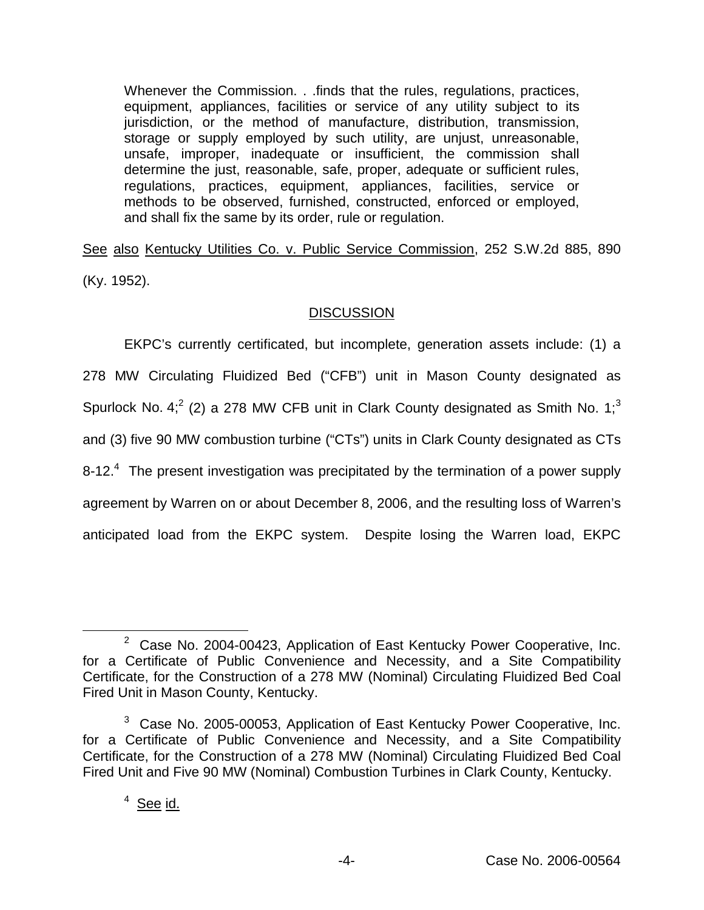Whenever the Commission. . .finds that the rules, regulations, practices, equipment, appliances, facilities or service of any utility subject to its jurisdiction, or the method of manufacture, distribution, transmission, storage or supply employed by such utility, are unjust, unreasonable, unsafe, improper, inadequate or insufficient, the commission shall determine the just, reasonable, safe, proper, adequate or sufficient rules, regulations, practices, equipment, appliances, facilities, service or methods to be observed, furnished, constructed, enforced or employed, and shall fix the same by its order, rule or regulation.

See also Kentucky Utilities Co. v. Public Service Commission, 252 S.W.2d 885, 890 (Ky. 1952).

# **DISCUSSION**

EKPC's currently certificated, but incomplete, generation assets include: (1) a 278 MW Circulating Fluidized Bed ("CFB") unit in Mason County designated as Spurlock No. 4;<sup>2</sup> (2) a 278 MW CFB unit in Clark County designated as Smith No. 1;<sup>3</sup> and (3) five 90 MW combustion turbine ("CTs") units in Clark County designated as CTs 8-12.<sup>4</sup> The present investigation was precipitated by the termination of a power supply agreement by Warren on or about December 8, 2006, and the resulting loss of Warren's anticipated load from the EKPC system. Despite losing the Warren load, EKPC

 $2$  Case No. 2004-00423, Application of East Kentucky Power Cooperative, Inc. for a Certificate of Public Convenience and Necessity, and a Site Compatibility Certificate, for the Construction of a 278 MW (Nominal) Circulating Fluidized Bed Coal Fired Unit in Mason County, Kentucky.

 $3$  Case No. 2005-00053, Application of East Kentucky Power Cooperative, Inc. for a Certificate of Public Convenience and Necessity, and a Site Compatibility Certificate, for the Construction of a 278 MW (Nominal) Circulating Fluidized Bed Coal Fired Unit and Five 90 MW (Nominal) Combustion Turbines in Clark County, Kentucky.

<sup>&</sup>lt;sup>4</sup> See id.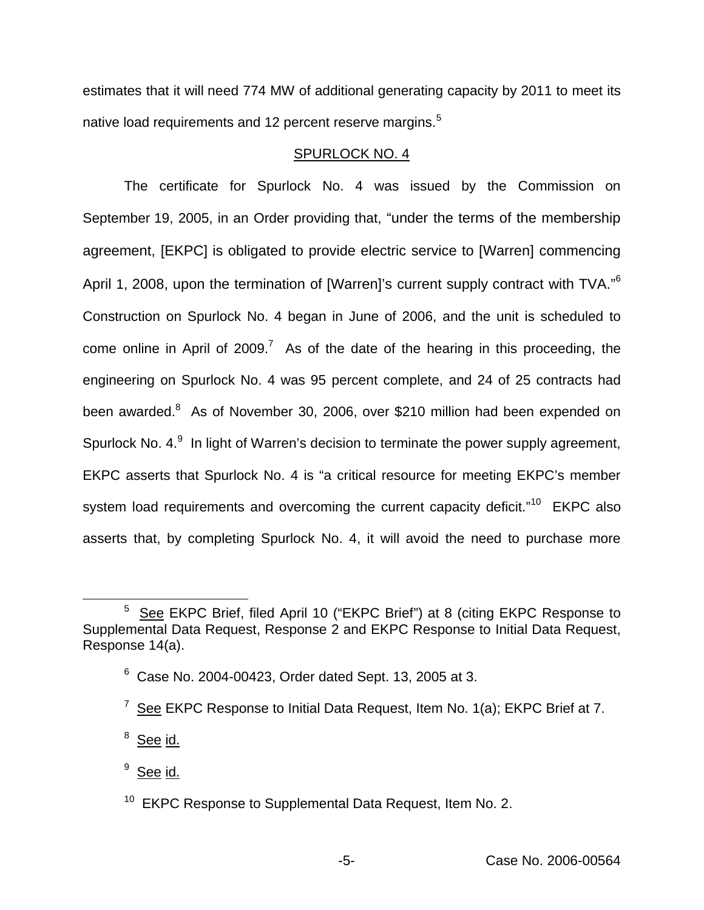estimates that it will need 774 MW of additional generating capacity by 2011 to meet its native load requirements and 12 percent reserve margins.<sup>5</sup>

# SPURLOCK NO. 4

The certificate for Spurlock No. 4 was issued by the Commission on September 19, 2005, in an Order providing that, "under the terms of the membership agreement, [EKPC] is obligated to provide electric service to [Warren] commencing April 1, 2008, upon the termination of [Warren]'s current supply contract with TVA."<sup>6</sup> Construction on Spurlock No. 4 began in June of 2006, and the unit is scheduled to come online in April of  $2009<sup>7</sup>$  As of the date of the hearing in this proceeding, the engineering on Spurlock No. 4 was 95 percent complete, and 24 of 25 contracts had been awarded.<sup>8</sup> As of November 30, 2006, over \$210 million had been expended on Spurlock No.  $4.9$  In light of Warren's decision to terminate the power supply agreement, EKPC asserts that Spurlock No. 4 is "a critical resource for meeting EKPC's member system load requirements and overcoming the current capacity deficit."<sup>10</sup> EKPC also asserts that, by completing Spurlock No. 4, it will avoid the need to purchase more

<sup>5</sup> See EKPC Brief, filed April 10 ("EKPC Brief") at 8 (citing EKPC Response to Supplemental Data Request, Response 2 and EKPC Response to Initial Data Request, Response 14(a).

 $6$  Case No. 2004-00423, Order dated Sept. 13, 2005 at 3.

<sup>&</sup>lt;sup>7</sup> See EKPC Response to Initial Data Request, Item No. 1(a); EKPC Brief at 7.

<sup>&</sup>lt;sup>8</sup> See id.

<sup>&</sup>lt;sup>9</sup> See id.

<sup>&</sup>lt;sup>10</sup> EKPC Response to Supplemental Data Request, Item No. 2.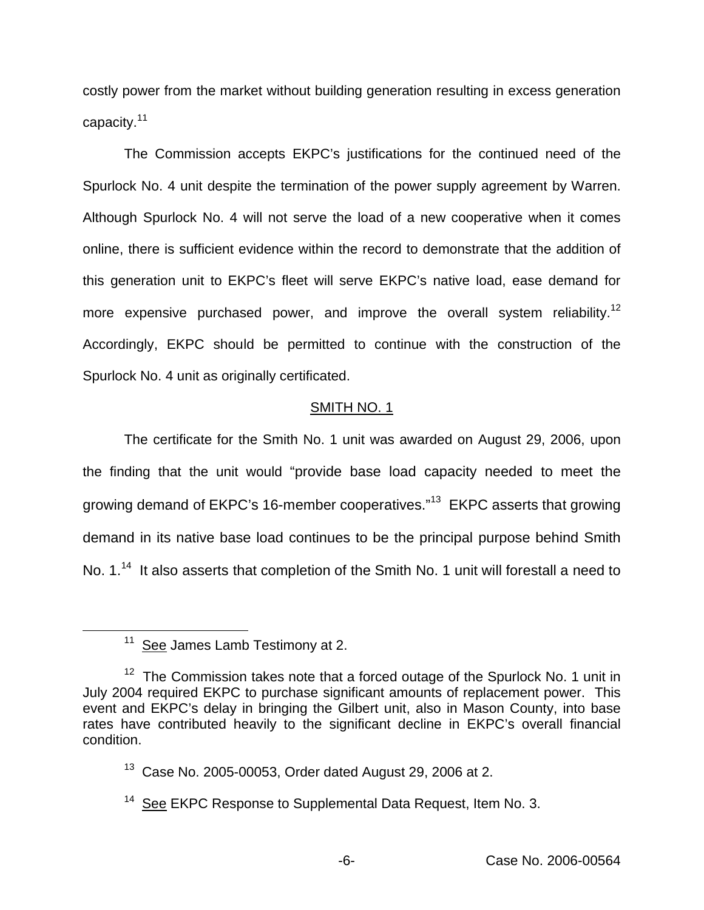costly power from the market without building generation resulting in excess generation capacity.<sup>11</sup>

The Commission accepts EKPC's justifications for the continued need of the Spurlock No. 4 unit despite the termination of the power supply agreement by Warren. Although Spurlock No. 4 will not serve the load of a new cooperative when it comes online, there is sufficient evidence within the record to demonstrate that the addition of this generation unit to EKPC's fleet will serve EKPC's native load, ease demand for more expensive purchased power, and improve the overall system reliability.<sup>12</sup> Accordingly, EKPC should be permitted to continue with the construction of the Spurlock No. 4 unit as originally certificated.

# SMITH NO. 1

The certificate for the Smith No. 1 unit was awarded on August 29, 2006, upon the finding that the unit would "provide base load capacity needed to meet the growing demand of EKPC's 16-member cooperatives."<sup>13</sup> EKPC asserts that growing demand in its native base load continues to be the principal purpose behind Smith No. 1.<sup>14</sup> It also asserts that completion of the Smith No. 1 unit will forestall a need to

<sup>&</sup>lt;sup>11</sup> See James Lamb Testimony at 2.

 $12$  The Commission takes note that a forced outage of the Spurlock No. 1 unit in July 2004 required EKPC to purchase significant amounts of replacement power. This event and EKPC's delay in bringing the Gilbert unit, also in Mason County, into base rates have contributed heavily to the significant decline in EKPC's overall financial condition.

<sup>13</sup> Case No. 2005-00053, Order dated August 29, 2006 at 2.

<sup>&</sup>lt;sup>14</sup> See EKPC Response to Supplemental Data Request, Item No. 3.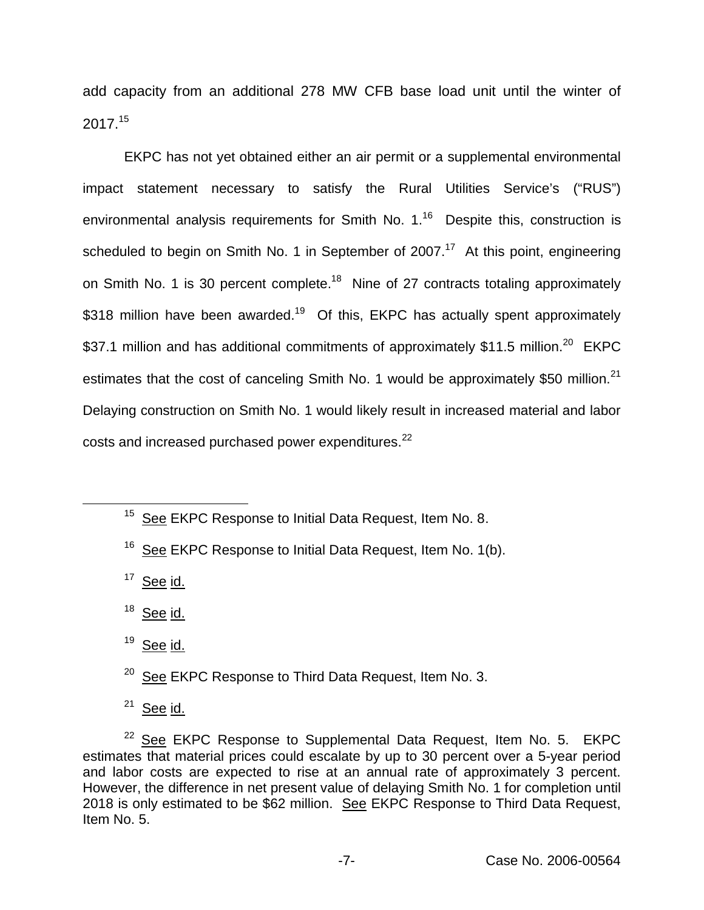add capacity from an additional 278 MW CFB base load unit until the winter of 2017.<sup>15</sup>

EKPC has not yet obtained either an air permit or a supplemental environmental impact statement necessary to satisfy the Rural Utilities Service's ("RUS") environmental analysis requirements for Smith No.  $1.^{16}$  Despite this, construction is scheduled to begin on Smith No. 1 in September of 2007.<sup>17</sup> At this point, engineering on Smith No. 1 is 30 percent complete.<sup>18</sup> Nine of 27 contracts totaling approximately \$318 million have been awarded.<sup>19</sup> Of this, EKPC has actually spent approximately \$37.1 million and has additional commitments of approximately \$11.5 million.<sup>20</sup> EKPC estimates that the cost of canceling Smith No. 1 would be approximately \$50 million.<sup>21</sup> Delaying construction on Smith No. 1 would likely result in increased material and labor costs and increased purchased power expenditures.<sup>22</sup>

 $17$  See id.

 $18$  See id.

<sup>19</sup> See id.

<sup>20</sup> See EKPC Response to Third Data Request, Item No. 3.

 $21$  See id.

 $22$  See EKPC Response to Supplemental Data Request, Item No. 5. EKPC estimates that material prices could escalate by up to 30 percent over a 5-year period and labor costs are expected to rise at an annual rate of approximately 3 percent. However, the difference in net present value of delaying Smith No. 1 for completion until 2018 is only estimated to be \$62 million. See EKPC Response to Third Data Request, Item No. 5.

<sup>&</sup>lt;sup>15</sup> See EKPC Response to Initial Data Request, Item No. 8.

<sup>&</sup>lt;sup>16</sup> See EKPC Response to Initial Data Request, Item No. 1(b).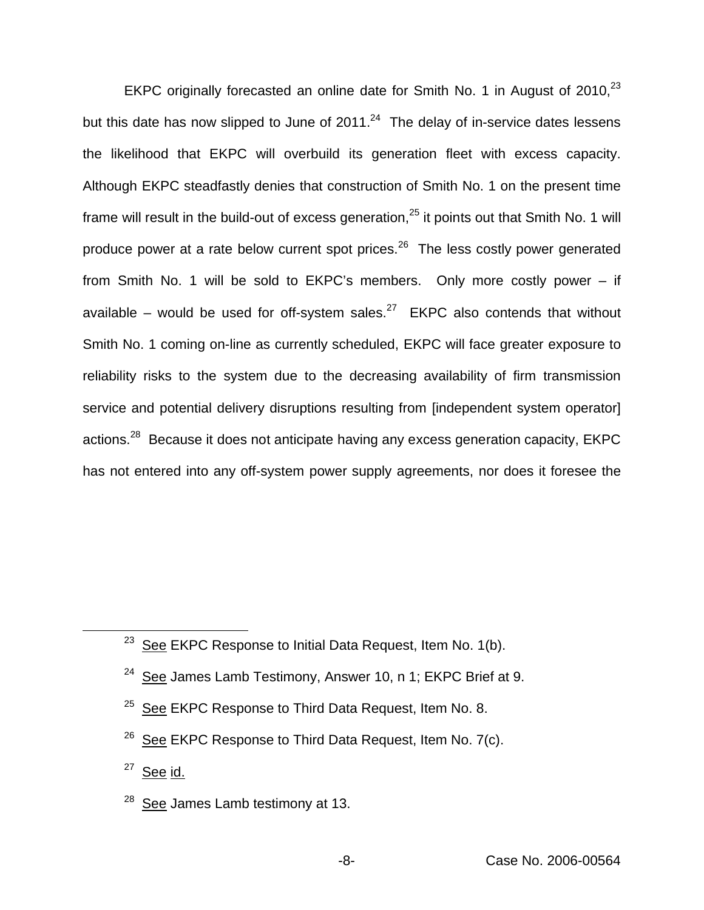EKPC originally forecasted an online date for Smith No. 1 in August of 2010,<sup>23</sup> but this date has now slipped to June of  $2011<sup>24</sup>$  The delay of in-service dates lessens the likelihood that EKPC will overbuild its generation fleet with excess capacity. Although EKPC steadfastly denies that construction of Smith No. 1 on the present time frame will result in the build-out of excess generation, $25$  it points out that Smith No. 1 will produce power at a rate below current spot prices.<sup>26</sup> The less costly power generated from Smith No. 1 will be sold to EKPC's members. Only more costly power – if available – would be used for off-system sales. $^{27}$  EKPC also contends that without Smith No. 1 coming on-line as currently scheduled, EKPC will face greater exposure to reliability risks to the system due to the decreasing availability of firm transmission service and potential delivery disruptions resulting from [independent system operator] actions.<sup>28</sup> Because it does not anticipate having any excess generation capacity, EKPC has not entered into any off-system power supply agreements, nor does it foresee the

- $24$  See James Lamb Testimony, Answer 10, n 1; EKPC Brief at 9.
- <sup>25</sup> See EKPC Response to Third Data Request, Item No. 8.
- $26$  See EKPC Response to Third Data Request, Item No. 7(c).
- $27$  See id.
- $^{28}$  See James Lamb testimony at 13.

 $23$  See EKPC Response to Initial Data Request, Item No. 1(b).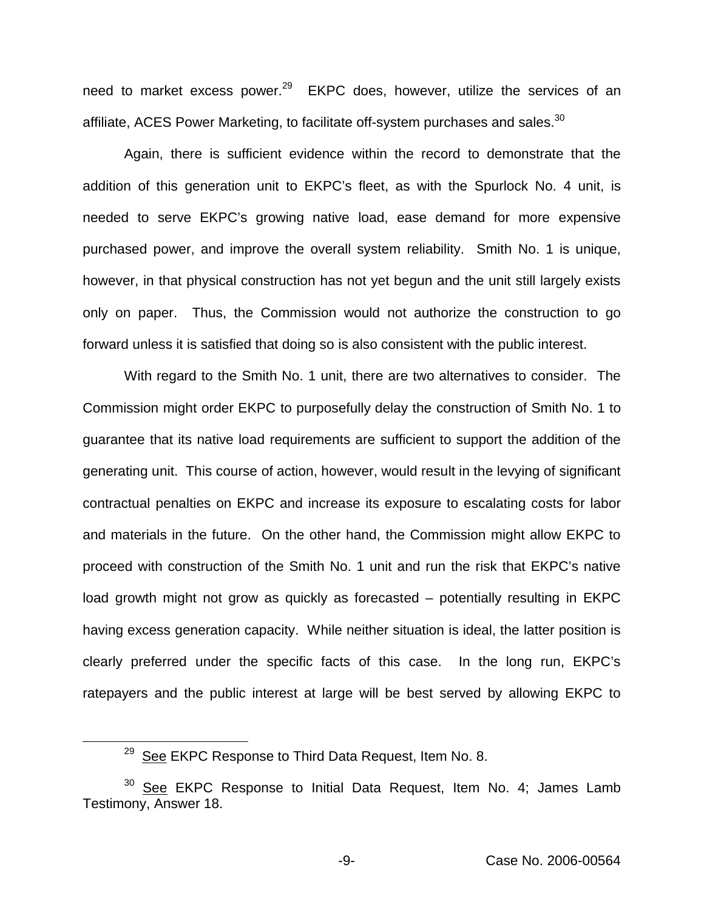need to market excess power.<sup>29</sup> EKPC does, however, utilize the services of an affiliate, ACES Power Marketing, to facilitate off-system purchases and sales.<sup>30</sup>

Again, there is sufficient evidence within the record to demonstrate that the addition of this generation unit to EKPC's fleet, as with the Spurlock No. 4 unit, is needed to serve EKPC's growing native load, ease demand for more expensive purchased power, and improve the overall system reliability. Smith No. 1 is unique, however, in that physical construction has not yet begun and the unit still largely exists only on paper. Thus, the Commission would not authorize the construction to go forward unless it is satisfied that doing so is also consistent with the public interest.

With regard to the Smith No. 1 unit, there are two alternatives to consider. The Commission might order EKPC to purposefully delay the construction of Smith No. 1 to guarantee that its native load requirements are sufficient to support the addition of the generating unit. This course of action, however, would result in the levying of significant contractual penalties on EKPC and increase its exposure to escalating costs for labor and materials in the future. On the other hand, the Commission might allow EKPC to proceed with construction of the Smith No. 1 unit and run the risk that EKPC's native load growth might not grow as quickly as forecasted – potentially resulting in EKPC having excess generation capacity. While neither situation is ideal, the latter position is clearly preferred under the specific facts of this case. In the long run, EKPC's ratepayers and the public interest at large will be best served by allowing EKPC to

 $29$  See EKPC Response to Third Data Request, Item No. 8.

 $30$  See EKPC Response to Initial Data Request, Item No. 4; James Lamb Testimony, Answer 18.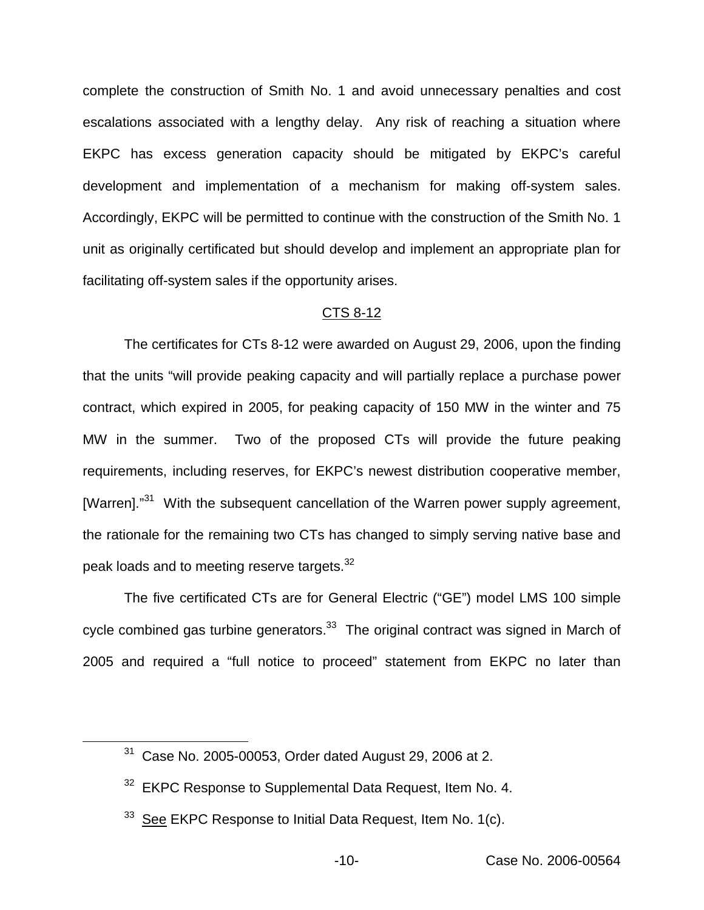complete the construction of Smith No. 1 and avoid unnecessary penalties and cost escalations associated with a lengthy delay. Any risk of reaching a situation where EKPC has excess generation capacity should be mitigated by EKPC's careful development and implementation of a mechanism for making off-system sales. Accordingly, EKPC will be permitted to continue with the construction of the Smith No. 1 unit as originally certificated but should develop and implement an appropriate plan for facilitating off-system sales if the opportunity arises.

### CTS 8-12

The certificates for CTs 8-12 were awarded on August 29, 2006, upon the finding that the units "will provide peaking capacity and will partially replace a purchase power contract, which expired in 2005, for peaking capacity of 150 MW in the winter and 75 MW in the summer. Two of the proposed CTs will provide the future peaking requirements, including reserves, for EKPC's newest distribution cooperative member, [Warren]."<sup>31</sup> With the subsequent cancellation of the Warren power supply agreement, the rationale for the remaining two CTs has changed to simply serving native base and peak loads and to meeting reserve targets.<sup>32</sup>

The five certificated CTs are for General Electric ("GE") model LMS 100 simple cycle combined gas turbine generators. $33$  The original contract was signed in March of 2005 and required a "full notice to proceed" statement from EKPC no later than

<sup>31</sup> Case No. 2005-00053, Order dated August 29, 2006 at 2.

<sup>&</sup>lt;sup>32</sup> EKPC Response to Supplemental Data Request, Item No. 4.

 $33$  See EKPC Response to Initial Data Request, Item No. 1(c).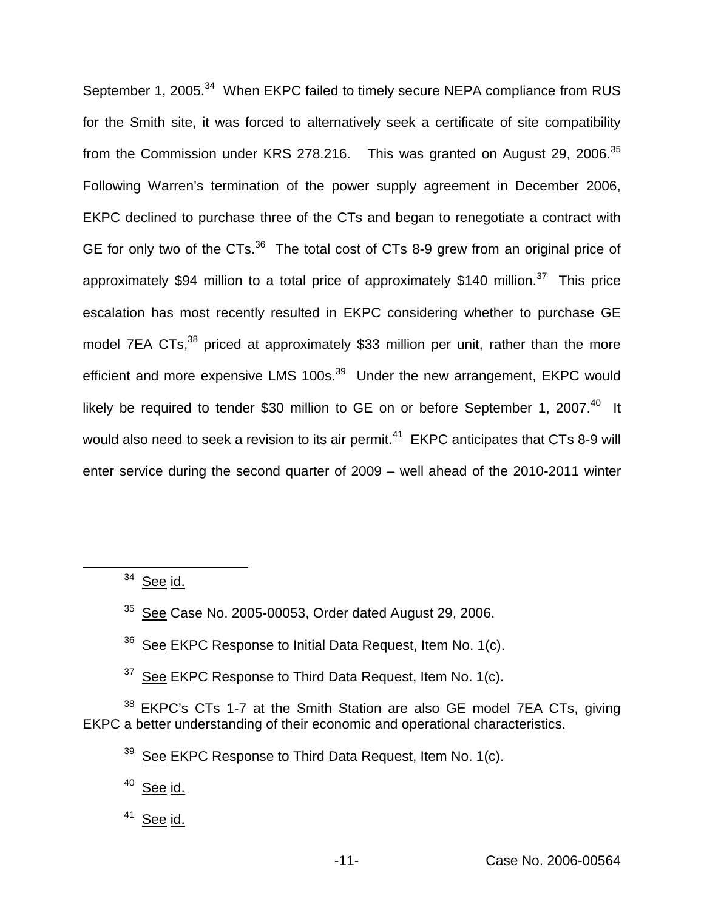September 1, 2005.<sup>34</sup> When EKPC failed to timely secure NEPA compliance from RUS for the Smith site, it was forced to alternatively seek a certificate of site compatibility from the Commission under KRS 278.216. This was granted on August 29. 2006.<sup>35</sup> Following Warren's termination of the power supply agreement in December 2006, EKPC declined to purchase three of the CTs and began to renegotiate a contract with GE for only two of the CTs.<sup>36</sup> The total cost of CTs 8-9 grew from an original price of approximately \$94 million to a total price of approximately \$140 million.<sup>37</sup> This price escalation has most recently resulted in EKPC considering whether to purchase GE model 7EA CTs,<sup>38</sup> priced at approximately \$33 million per unit, rather than the more efficient and more expensive LMS 100s.<sup>39</sup> Under the new arrangement, EKPC would likely be required to tender \$30 million to GE on or before September 1, 2007.<sup>40</sup> It would also need to seek a revision to its air permit.<sup>41</sup> EKPC anticipates that CTs 8-9 will enter service during the second quarter of 2009 – well ahead of the 2010-2011 winter

 $34$  See id.

 $35$  See Case No. 2005-00053, Order dated August 29, 2006.

- $36$  See EKPC Response to Initial Data Request, Item No. 1(c).
- $37$  See EKPC Response to Third Data Request, Item No. 1(c).

<sup>38</sup> EKPC's CTs 1-7 at the Smith Station are also GE model 7EA CTs, giving EKPC a better understanding of their economic and operational characteristics.

 $39$  See EKPC Response to Third Data Request, Item No. 1(c).

<sup>40</sup> See id.

 $41$  See id.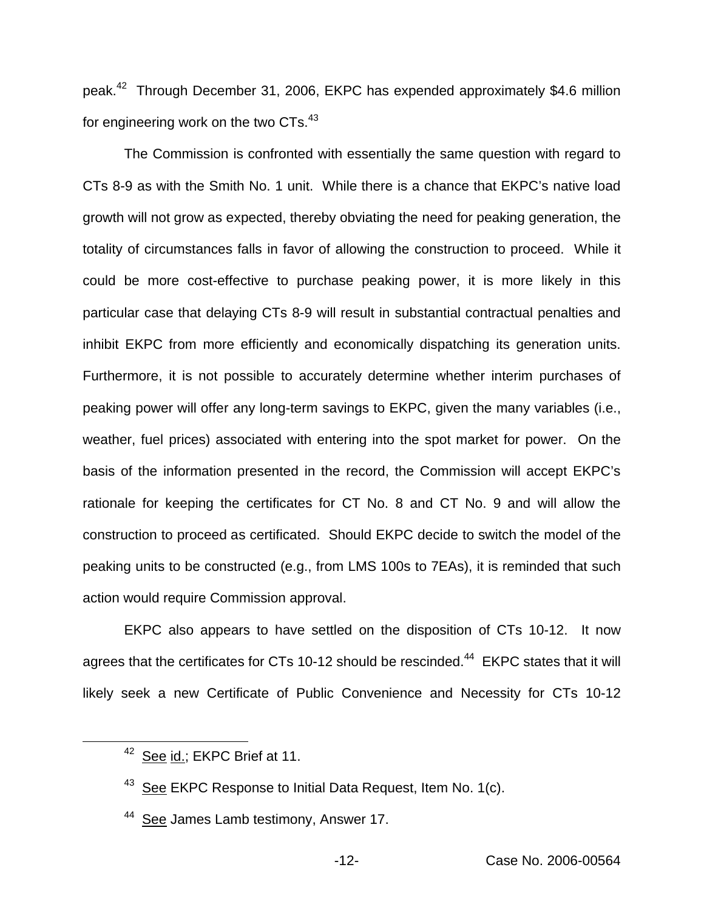peak.<sup>42</sup> Through December 31, 2006, EKPC has expended approximately \$4.6 million for engineering work on the two CTs.<sup>43</sup>

The Commission is confronted with essentially the same question with regard to CTs 8-9 as with the Smith No. 1 unit. While there is a chance that EKPC's native load growth will not grow as expected, thereby obviating the need for peaking generation, the totality of circumstances falls in favor of allowing the construction to proceed. While it could be more cost-effective to purchase peaking power, it is more likely in this particular case that delaying CTs 8-9 will result in substantial contractual penalties and inhibit EKPC from more efficiently and economically dispatching its generation units. Furthermore, it is not possible to accurately determine whether interim purchases of peaking power will offer any long-term savings to EKPC, given the many variables (i.e., weather, fuel prices) associated with entering into the spot market for power. On the basis of the information presented in the record, the Commission will accept EKPC's rationale for keeping the certificates for CT No. 8 and CT No. 9 and will allow the construction to proceed as certificated. Should EKPC decide to switch the model of the peaking units to be constructed (e.g., from LMS 100s to 7EAs), it is reminded that such action would require Commission approval.

EKPC also appears to have settled on the disposition of CTs 10-12. It now agrees that the certificates for CTs 10-12 should be rescinded.<sup>44</sup> EKPC states that it will likely seek a new Certificate of Public Convenience and Necessity for CTs 10-12

<sup>&</sup>lt;sup>42</sup> See id.; EKPC Brief at 11.

<sup>&</sup>lt;sup>43</sup> See EKPC Response to Initial Data Request, Item No. 1(c).

<sup>&</sup>lt;sup>44</sup> See James Lamb testimony, Answer 17.